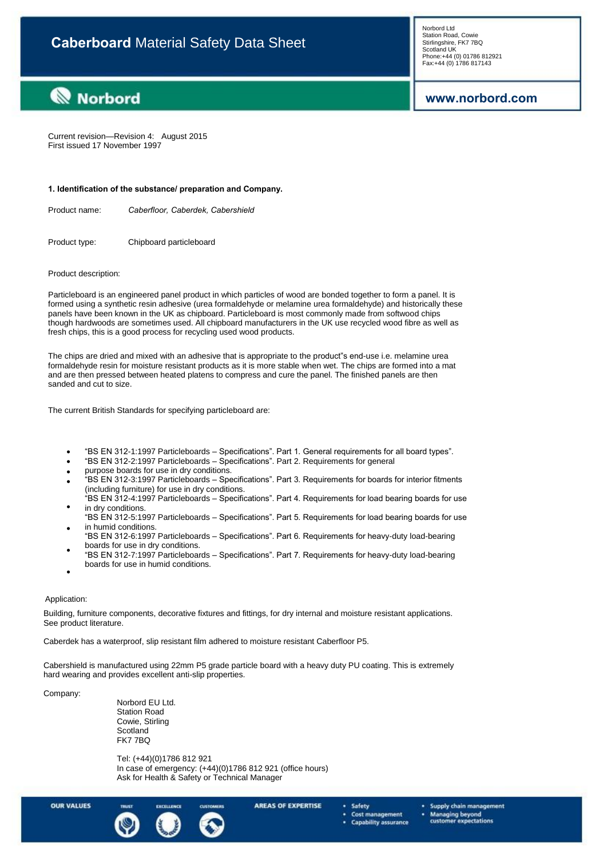## **www.norbord.com**

**Norbord** 

Current revision—Revision 4: August 2015 First issued 17 November 1997

#### **1. Identification of the substance/ preparation and Company.**

Product name: *Caberfloor, Caberdek, Cabershield*

Product type: Chipboard particleboard

#### Product description:

Particleboard is an engineered panel product in which particles of wood are bonded together to form a panel. It is formed using a synthetic resin adhesive (urea formaldehyde or melamine urea formaldehyde) and historically these panels have been known in the UK as chipboard. Particleboard is most commonly made from softwood chips though hardwoods are sometimes used. All chipboard manufacturers in the UK use recycled wood fibre as well as fresh chips, this is a good process for recycling used wood products.

The chips are dried and mixed with an adhesive that is appropriate to the product"s end-use i.e. melamine urea formaldehyde resin for moisture resistant products as it is more stable when wet. The chips are formed into a mat and are then pressed between heated platens to compress and cure the panel. The finished panels are then sanded and cut to size.

The current British Standards for specifying particleboard are:

- $\bullet$ "BS EN 312-1:1997 Particleboards – Specifications". Part 1. General requirements for all board types".
- $\bullet$ ―BS EN 312-2:1997 Particleboards – Specifications‖. Part 2. Requirements for general
- $\bullet$ purpose boards for use in dry conditions.
- $\bullet$ ―BS EN 312-3:1997 Particleboards – Specifications‖. Part 3. Requirements for boards for interior fitments (including furniture) for use in dry conditions.
- $\bullet$ ―BS EN 312-4:1997 Particleboards – Specifications‖. Part 4. Requirements for load bearing boards for use in dry conditions.
- $\bullet$ ―BS EN 312-5:1997 Particleboards – Specifications‖. Part 5. Requirements for load bearing boards for use in humid conditions.
- ―BS EN 312-6:1997 Particleboards Specifications‖. Part 6. Requirements for heavy-duty load-bearing boards for use in dry conditions.
- $\bullet$  $\bullet$ ―BS EN 312-7:1997 Particleboards – Specifications‖. Part 7. Requirements for heavy-duty load-bearing boards for use in humid conditions.

#### Application:

Building, furniture components, decorative fixtures and fittings, for dry internal and moisture resistant applications. See product literature.

Caberdek has a waterproof, slip resistant film adhered to moisture resistant Caberfloor P5.

Cabershield is manufactured using 22mm P5 grade particle board with a heavy duty PU coating. This is extremely hard wearing and provides excellent anti-slip properties.

#### Company:

Norbord EU Ltd. Station Road Cowie, Stirling **Scotland** FK7 7BQ

Tel: (+44)(0)1786 812 921 In case of emergency: (+44)(0)1786 812 921 (office hours) Ask for Health & Safety or Technical Manager

**OUR VALUES** 



**AREAS OF EXPERTISE** 

Safety Cost management

- **Capability assurance**
- Supply chain management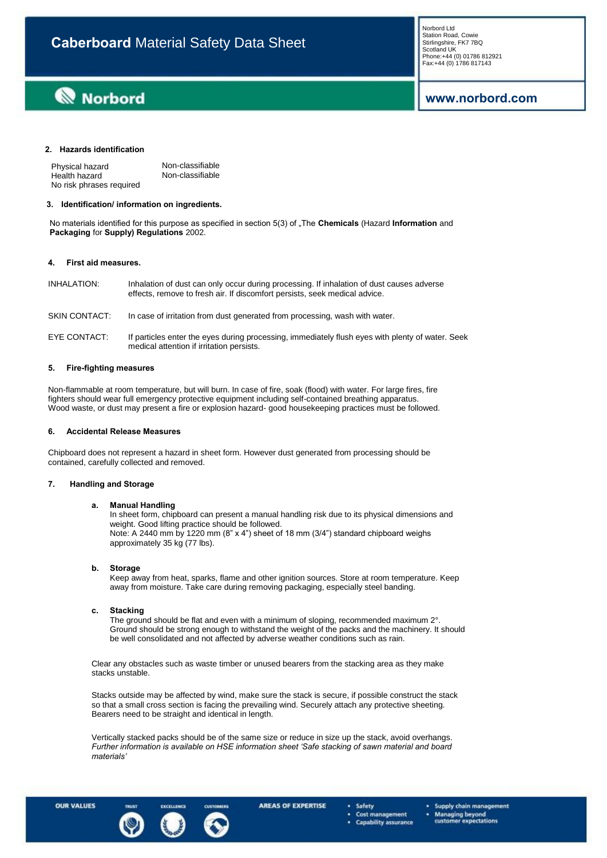# **Norbord**

## **www.norbord.com**

### **2. Hazards identification**

| Physical hazard          | Non-classifiable |
|--------------------------|------------------|
| Health hazard            | Non-classifiable |
| No risk phrases required |                  |

#### **3. Identification/ information on ingredients.**

No materials identified for this purpose as specified in section 5(3) of "The **Chemicals** (Hazard **Information** and **Packaging** for **Supply) Regulations** 2002.

#### **4. First aid measures.**

| INHALATION:   | Inhalation of dust can only occur during processing. If inhalation of dust causes adverse<br>effects, remove to fresh air. If discomfort persists, seek medical advice. |
|---------------|-------------------------------------------------------------------------------------------------------------------------------------------------------------------------|
| SKIN CONTACT: | In case of irritation from dust generated from processing, wash with water.                                                                                             |
| EYE CONTACT:  | If particles enter the eyes during processing, immediately flush eyes with plenty of water. Seek<br>medical attention if irritation persists.                           |

#### **5. Fire-fighting measures**

Non-flammable at room temperature, but will burn. In case of fire, soak (flood) with water. For large fires, fire fighters should wear full emergency protective equipment including self-contained breathing apparatus. Wood waste, or dust may present a fire or explosion hazard- good housekeeping practices must be followed.

#### **6. Accidental Release Measures**

Chipboard does not represent a hazard in sheet form. However dust generated from processing should be contained, carefully collected and removed.

#### **7. Handling and Storage**

#### **a. Manual Handling**

In sheet form, chipboard can present a manual handling risk due to its physical dimensions and weight. Good lifting practice should be followed. Note: A 2440 mm by 1220 mm (8" x 4") sheet of 18 mm (3/4") standard chipboard weighs approximately 35 kg (77 lbs).

#### **Storage b.**

Keep away from heat, sparks, flame and other ignition sources. Store at room temperature. Keep away from moisture. Take care during removing packaging, especially steel banding.

#### **Stacking c.**

The ground should be flat and even with a minimum of sloping, recommended maximum 2°. Ground should be strong enough to withstand the weight of the packs and the machinery. It should be well consolidated and not affected by adverse weather conditions such as rain.

Clear any obstacles such as waste timber or unused bearers from the stacking area as they make stacks unstable.

Stacks outside may be affected by wind, make sure the stack is secure, if possible construct the stack so that a small cross section is facing the prevailing wind. Securely attach any protective sheeting. Bearers need to be straight and identical in length.

Vertically stacked packs should be of the same size or reduce in size up the stack, avoid overhangs. *Further information is available on HSE information sheet 'Safe stacking of sawn material and board materials'*



**AREAS OF EXPERTISE** 

- Safety Cost management
- **Capability assurance**
- Supply chain management
- Managing beyond<br>customer expectations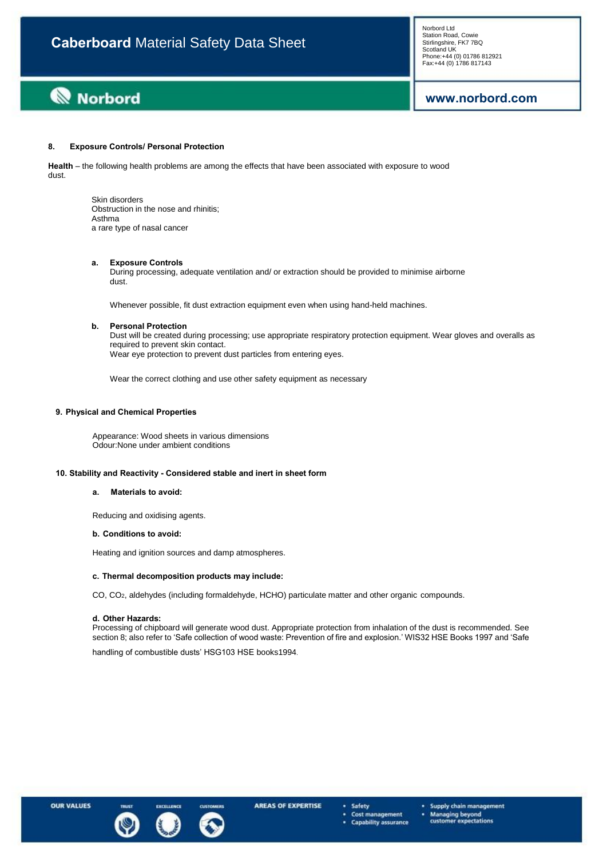# **www.norbord.com**

#### **8. Exposure Controls/ Personal Protection**

**Health** – the following health problems are among the effects that have been associated with exposure to wood dust.

> Skin disorders Obstruction in the nose and rhinitis; Asthma a rare type of nasal cancer

#### **a. Exposure Controls**

During processing, adequate ventilation and/ or extraction should be provided to minimise airborne dust.

Whenever possible, fit dust extraction equipment even when using hand-held machines.

#### **b. Personal Protection**

Dust will be created during processing; use appropriate respiratory protection equipment. Wear gloves and overalls as required to prevent skin contact. Wear eye protection to prevent dust particles from entering eyes.

Wear the correct clothing and use other safety equipment as necessary

### **9. Physical and Chemical Properties**

Appearance: Wood sheets in various dimensions Odour:None under ambient conditions

### **10. Stability and Reactivity - Considered stable and inert in sheet form**

#### **a. Materials to avoid:**

Reducing and oxidising agents.

#### **b. Conditions to avoid:**

Heating and ignition sources and damp atmospheres.

#### **c. Thermal decomposition products may include:**

CO, CO2, aldehydes (including formaldehyde, HCHO) particulate matter and other organic compounds.

#### **d. Other Hazards:**

Processing of chipboard will generate wood dust. Appropriate protection from inhalation of the dust is recommended. See section 8; also refer to 'Safe collection of wood waste: Prevention of fire and explosion.' WIS32 HSE Books 1997 and 'Safe

handling of combustible dusts' HSG103 HSE books1994.



Safety Cost management ٠ **Capability assurance** 

- Supply chain management
- Managing beyond<br>customer expectati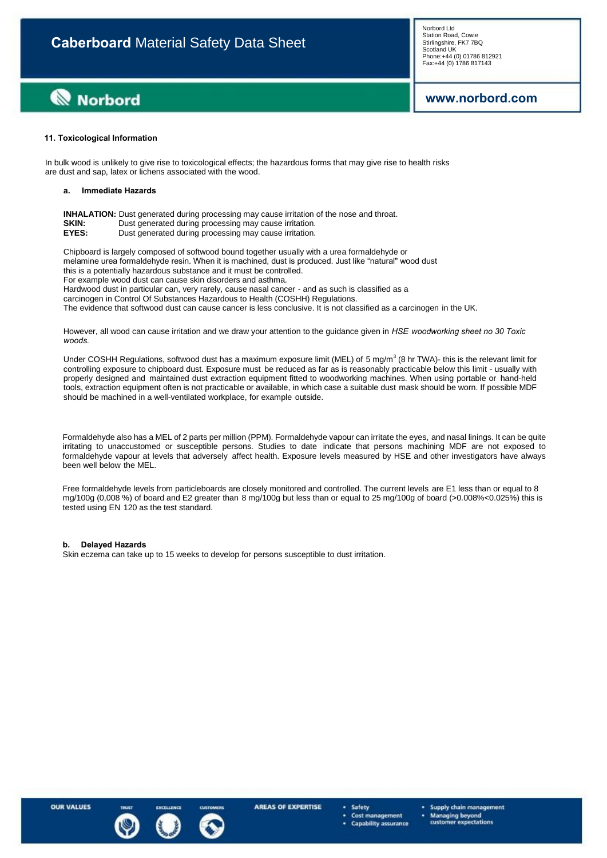# **Norbord**

**www.norbord.com**

#### **11. Toxicological Information**

In bulk wood is unlikely to give rise to toxicological effects; the hazardous forms that may give rise to health risks are dust and sap, latex or lichens associated with the wood.

#### **a. Immediate Hazards**

|       | <b>INHALATION:</b> Dust generated during processing may cause irritation of the nose and throat. |
|-------|--------------------------------------------------------------------------------------------------|
| SKIN: | Dust generated during processing may cause irritation.                                           |
| EYES: | Dust generated during processing may cause irritation.                                           |

Chipboard is largely composed of softwood bound together usually with a urea formaldehyde or melamine urea formaldehyde resin. When it is machined, dust is produced. Just like "natural" wood dust this is a potentially hazardous substance and it must be controlled. For example wood dust can cause skin disorders and asthma.

Hardwood dust in particular can, very rarely, cause nasal cancer - and as such is classified as a

carcinogen in Control Of Substances Hazardous to Health (COSHH) Regulations.

The evidence that softwood dust can cause cancer is less conclusive. It is not classified as a carcinogen in the UK.

However, all wood can cause irritation and we draw your attention to the guidance given in *HSE woodworking sheet no 30 Toxic woods.*

Under COSHH Regulations, softwood dust has a maximum exposure limit (MEL) of 5 mg/m $^3$  (8 hr TWA)- this is the relevant limit for controlling exposure to chipboard dust. Exposure must be reduced as far as is reasonably practicable below this limit - usually with properly designed and maintained dust extraction equipment fitted to woodworking machines. When using portable or hand-held tools, extraction equipment often is not practicable or available, in which case a suitable dust mask should be worn. If possible MDF should be machined in a well-ventilated workplace, for example outside.

Formaldehyde also has a MEL of 2 parts per million (PPM). Formaldehyde vapour can irritate the eyes, and nasal linings. It can be quite irritating to unaccustomed or susceptible persons. Studies to date indicate that persons machining MDF are not exposed to formaldehyde vapour at levels that adversely affect health. Exposure levels measured by HSE and other investigators have always been well below the MEL.

Free formaldehyde levels from particleboards are closely monitored and controlled. The current levels are E1 less than or equal to 8 mg/100g (0,008 %) of board and E2 greater than 8 mg/100g but less than or equal to 25 mg/100g of board (>0.008%<0.025%) this is tested using EN 120 as the test standard.

#### **b. Delayed Hazards**

Skin eczema can take up to 15 weeks to develop for persons susceptible to dust irritation.

**OUR VALUES** 



Safety Cost management

- Supply chain management
- **Managing beyond<br>customer expectations**